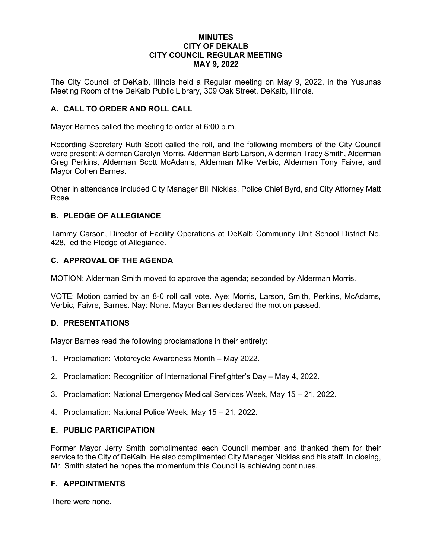#### **MINUTES CITY OF DEKALB CITY COUNCIL REGULAR MEETING MAY 9, 2022**

The City Council of DeKalb, Illinois held a Regular meeting on May 9, 2022, in the Yusunas Meeting Room of the DeKalb Public Library, 309 Oak Street, DeKalb, Illinois.

# **A. CALL TO ORDER AND ROLL CALL**

Mayor Barnes called the meeting to order at 6:00 p.m.

Recording Secretary Ruth Scott called the roll, and the following members of the City Council were present: Alderman Carolyn Morris, Alderman Barb Larson, Alderman Tracy Smith, Alderman Greg Perkins, Alderman Scott McAdams, Alderman Mike Verbic, Alderman Tony Faivre, and Mayor Cohen Barnes.

Other in attendance included City Manager Bill Nicklas, Police Chief Byrd, and City Attorney Matt Rose.

#### **B. PLEDGE OF ALLEGIANCE**

Tammy Carson, Director of Facility Operations at DeKalb Community Unit School District No. 428, led the Pledge of Allegiance.

### **C. APPROVAL OF THE AGENDA**

MOTION: Alderman Smith moved to approve the agenda; seconded by Alderman Morris.

VOTE: Motion carried by an 8-0 roll call vote. Aye: Morris, Larson, Smith, Perkins, McAdams, Verbic, Faivre, Barnes. Nay: None. Mayor Barnes declared the motion passed.

#### **D. PRESENTATIONS**

Mayor Barnes read the following proclamations in their entirety:

- 1. Proclamation: Motorcycle Awareness Month May 2022.
- 2. Proclamation: Recognition of International Firefighter's Day May 4, 2022.
- 3. Proclamation: National Emergency Medical Services Week, May 15 21, 2022.
- 4. Proclamation: National Police Week, May 15 21, 2022.

#### **E. PUBLIC PARTICIPATION**

Former Mayor Jerry Smith complimented each Council member and thanked them for their service to the City of DeKalb. He also complimented City Manager Nicklas and his staff. In closing, Mr. Smith stated he hopes the momentum this Council is achieving continues.

## **F. APPOINTMENTS**

There were none.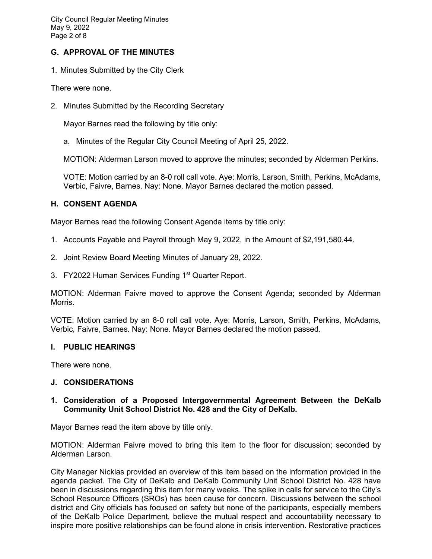# **G. APPROVAL OF THE MINUTES**

1. Minutes Submitted by the City Clerk

There were none.

2. Minutes Submitted by the Recording Secretary

Mayor Barnes read the following by title only:

a. Minutes of the Regular City Council Meeting of April 25, 2022.

MOTION: Alderman Larson moved to approve the minutes; seconded by Alderman Perkins.

VOTE: Motion carried by an 8-0 roll call vote. Aye: Morris, Larson, Smith, Perkins, McAdams, Verbic, Faivre, Barnes. Nay: None. Mayor Barnes declared the motion passed.

# **H. CONSENT AGENDA**

Mayor Barnes read the following Consent Agenda items by title only:

- 1. Accounts Payable and Payroll through May 9, 2022, in the Amount of \$2,191,580.44.
- 2. Joint Review Board Meeting Minutes of January 28, 2022.
- 3. FY2022 Human Services Funding 1<sup>st</sup> Quarter Report.

MOTION: Alderman Faivre moved to approve the Consent Agenda; seconded by Alderman Morris.

VOTE: Motion carried by an 8-0 roll call vote. Aye: Morris, Larson, Smith, Perkins, McAdams, Verbic, Faivre, Barnes. Nay: None. Mayor Barnes declared the motion passed.

## **I. PUBLIC HEARINGS**

There were none.

## **J. CONSIDERATIONS**

**1. Consideration of a Proposed Intergovernmental Agreement Between the DeKalb Community Unit School District No. 428 and the City of DeKalb.** 

Mayor Barnes read the item above by title only.

MOTION: Alderman Faivre moved to bring this item to the floor for discussion; seconded by Alderman Larson.

City Manager Nicklas provided an overview of this item based on the information provided in the agenda packet. The City of DeKalb and DeKalb Community Unit School District No. 428 have been in discussions regarding this item for many weeks. The spike in calls for service to the City's School Resource Officers (SROs) has been cause for concern. Discussions between the school district and City officials has focused on safety but none of the participants, especially members of the DeKalb Police Department, believe the mutual respect and accountability necessary to inspire more positive relationships can be found alone in crisis intervention. Restorative practices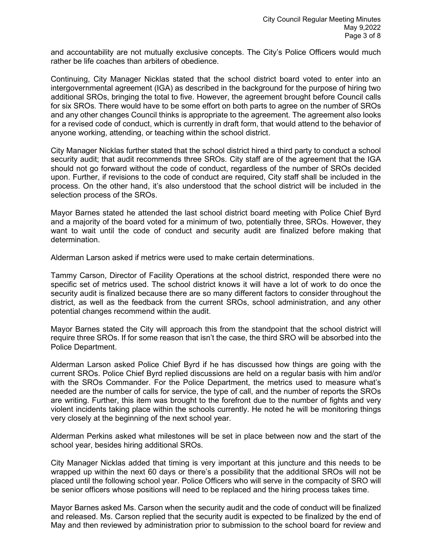and accountability are not mutually exclusive concepts. The City's Police Officers would much rather be life coaches than arbiters of obedience.

Continuing, City Manager Nicklas stated that the school district board voted to enter into an intergovernmental agreement (IGA) as described in the background for the purpose of hiring two additional SROs, bringing the total to five. However, the agreement brought before Council calls for six SROs. There would have to be some effort on both parts to agree on the number of SROs and any other changes Council thinks is appropriate to the agreement. The agreement also looks for a revised code of conduct, which is currently in draft form, that would attend to the behavior of anyone working, attending, or teaching within the school district.

City Manager Nicklas further stated that the school district hired a third party to conduct a school security audit; that audit recommends three SROs. City staff are of the agreement that the IGA should not go forward without the code of conduct, regardless of the number of SROs decided upon. Further, if revisions to the code of conduct are required, City staff shall be included in the process. On the other hand, it's also understood that the school district will be included in the selection process of the SROs.

Mayor Barnes stated he attended the last school district board meeting with Police Chief Byrd and a majority of the board voted for a minimum of two, potentially three, SROs. However, they want to wait until the code of conduct and security audit are finalized before making that determination.

Alderman Larson asked if metrics were used to make certain determinations.

Tammy Carson, Director of Facility Operations at the school district, responded there were no specific set of metrics used. The school district knows it will have a lot of work to do once the security audit is finalized because there are so many different factors to consider throughout the district, as well as the feedback from the current SROs, school administration, and any other potential changes recommend within the audit.

Mayor Barnes stated the City will approach this from the standpoint that the school district will require three SROs. If for some reason that isn't the case, the third SRO will be absorbed into the Police Department.

Alderman Larson asked Police Chief Byrd if he has discussed how things are going with the current SROs. Police Chief Byrd replied discussions are held on a regular basis with him and/or with the SROs Commander. For the Police Department, the metrics used to measure what's needed are the number of calls for service, the type of call, and the number of reports the SROs are writing. Further, this item was brought to the forefront due to the number of fights and very violent incidents taking place within the schools currently. He noted he will be monitoring things very closely at the beginning of the next school year.

Alderman Perkins asked what milestones will be set in place between now and the start of the school year, besides hiring additional SROs.

City Manager Nicklas added that timing is very important at this juncture and this needs to be wrapped up within the next 60 days or there's a possibility that the additional SROs will not be placed until the following school year. Police Officers who will serve in the compacity of SRO will be senior officers whose positions will need to be replaced and the hiring process takes time.

Mayor Barnes asked Ms. Carson when the security audit and the code of conduct will be finalized and released. Ms. Carson replied that the security audit is expected to be finalized by the end of May and then reviewed by administration prior to submission to the school board for review and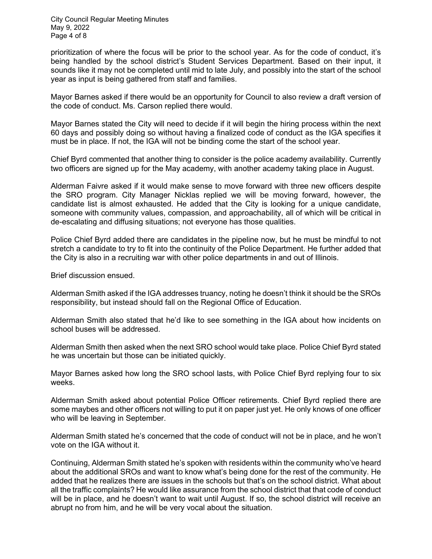City Council Regular Meeting Minutes May 9, 2022 Page 4 of 8

prioritization of where the focus will be prior to the school year. As for the code of conduct, it's being handled by the school district's Student Services Department. Based on their input, it sounds like it may not be completed until mid to late July, and possibly into the start of the school year as input is being gathered from staff and families.

Mayor Barnes asked if there would be an opportunity for Council to also review a draft version of the code of conduct. Ms. Carson replied there would.

Mayor Barnes stated the City will need to decide if it will begin the hiring process within the next 60 days and possibly doing so without having a finalized code of conduct as the IGA specifies it must be in place. If not, the IGA will not be binding come the start of the school year.

Chief Byrd commented that another thing to consider is the police academy availability. Currently two officers are signed up for the May academy, with another academy taking place in August.

Alderman Faivre asked if it would make sense to move forward with three new officers despite the SRO program. City Manager Nicklas replied we will be moving forward, however, the candidate list is almost exhausted. He added that the City is looking for a unique candidate, someone with community values, compassion, and approachability, all of which will be critical in de-escalating and diffusing situations; not everyone has those qualities.

Police Chief Byrd added there are candidates in the pipeline now, but he must be mindful to not stretch a candidate to try to fit into the continuity of the Police Department. He further added that the City is also in a recruiting war with other police departments in and out of Illinois.

Brief discussion ensued.

Alderman Smith asked if the IGA addresses truancy, noting he doesn't think it should be the SROs responsibility, but instead should fall on the Regional Office of Education.

Alderman Smith also stated that he'd like to see something in the IGA about how incidents on school buses will be addressed.

Alderman Smith then asked when the next SRO school would take place. Police Chief Byrd stated he was uncertain but those can be initiated quickly.

Mayor Barnes asked how long the SRO school lasts, with Police Chief Byrd replying four to six weeks.

Alderman Smith asked about potential Police Officer retirements. Chief Byrd replied there are some maybes and other officers not willing to put it on paper just yet. He only knows of one officer who will be leaving in September.

Alderman Smith stated he's concerned that the code of conduct will not be in place, and he won't vote on the IGA without it.

Continuing, Alderman Smith stated he's spoken with residents within the community who've heard about the additional SROs and want to know what's being done for the rest of the community. He added that he realizes there are issues in the schools but that's on the school district. What about all the traffic complaints? He would like assurance from the school district that that code of conduct will be in place, and he doesn't want to wait until August. If so, the school district will receive an abrupt no from him, and he will be very vocal about the situation.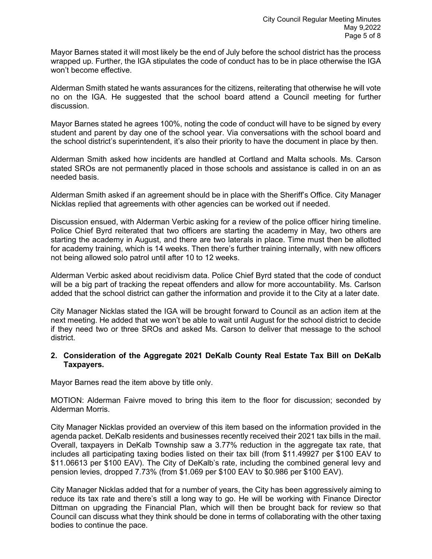Mayor Barnes stated it will most likely be the end of July before the school district has the process wrapped up. Further, the IGA stipulates the code of conduct has to be in place otherwise the IGA won't become effective.

Alderman Smith stated he wants assurances for the citizens, reiterating that otherwise he will vote no on the IGA. He suggested that the school board attend a Council meeting for further discussion.

Mayor Barnes stated he agrees 100%, noting the code of conduct will have to be signed by every student and parent by day one of the school year. Via conversations with the school board and the school district's superintendent, it's also their priority to have the document in place by then.

Alderman Smith asked how incidents are handled at Cortland and Malta schools. Ms. Carson stated SROs are not permanently placed in those schools and assistance is called in on an as needed basis.

Alderman Smith asked if an agreement should be in place with the Sheriff's Office. City Manager Nicklas replied that agreements with other agencies can be worked out if needed.

Discussion ensued, with Alderman Verbic asking for a review of the police officer hiring timeline. Police Chief Byrd reiterated that two officers are starting the academy in May, two others are starting the academy in August, and there are two laterals in place. Time must then be allotted for academy training, which is 14 weeks. Then there's further training internally, with new officers not being allowed solo patrol until after 10 to 12 weeks.

Alderman Verbic asked about recidivism data. Police Chief Byrd stated that the code of conduct will be a big part of tracking the repeat offenders and allow for more accountability. Ms. Carlson added that the school district can gather the information and provide it to the City at a later date.

City Manager Nicklas stated the IGA will be brought forward to Council as an action item at the next meeting. He added that we won't be able to wait until August for the school district to decide if they need two or three SROs and asked Ms. Carson to deliver that message to the school district.

## **2. Consideration of the Aggregate 2021 DeKalb County Real Estate Tax Bill on DeKalb Taxpayers.**

Mayor Barnes read the item above by title only.

MOTION: Alderman Faivre moved to bring this item to the floor for discussion; seconded by Alderman Morris.

City Manager Nicklas provided an overview of this item based on the information provided in the agenda packet. DeKalb residents and businesses recently received their 2021 tax bills in the mail. Overall, taxpayers in DeKalb Township saw a 3.77% reduction in the aggregate tax rate, that includes all participating taxing bodies listed on their tax bill (from \$11.49927 per \$100 EAV to \$11.06613 per \$100 EAV). The City of DeKalb's rate, including the combined general levy and pension levies, dropped 7.73% (from \$1.069 per \$100 EAV to \$0.986 per \$100 EAV).

City Manager Nicklas added that for a number of years, the City has been aggressively aiming to reduce its tax rate and there's still a long way to go. He will be working with Finance Director Dittman on upgrading the Financial Plan, which will then be brought back for review so that Council can discuss what they think should be done in terms of collaborating with the other taxing bodies to continue the pace.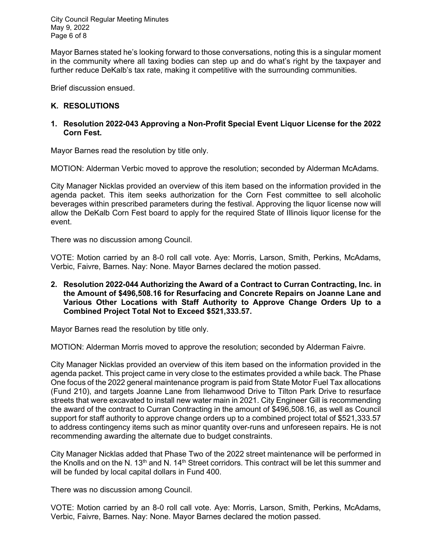City Council Regular Meeting Minutes May 9, 2022 Page 6 of 8

Mayor Barnes stated he's looking forward to those conversations, noting this is a singular moment in the community where all taxing bodies can step up and do what's right by the taxpayer and further reduce DeKalb's tax rate, making it competitive with the surrounding communities.

Brief discussion ensued.

### **K. RESOLUTIONS**

#### **1. Resolution 2022-043 Approving a Non-Profit Special Event Liquor License for the 2022 Corn Fest.**

Mayor Barnes read the resolution by title only.

MOTION: Alderman Verbic moved to approve the resolution; seconded by Alderman McAdams.

City Manager Nicklas provided an overview of this item based on the information provided in the agenda packet. This item seeks authorization for the Corn Fest committee to sell alcoholic beverages within prescribed parameters during the festival. Approving the liquor license now will allow the DeKalb Corn Fest board to apply for the required State of Illinois liquor license for the event.

There was no discussion among Council.

VOTE: Motion carried by an 8-0 roll call vote. Aye: Morris, Larson, Smith, Perkins, McAdams, Verbic, Faivre, Barnes. Nay: None. Mayor Barnes declared the motion passed.

**2. Resolution 2022-044 Authorizing the Award of a Contract to Curran Contracting, Inc. in the Amount of \$496,508.16 for Resurfacing and Concrete Repairs on Joanne Lane and Various Other Locations with Staff Authority to Approve Change Orders Up to a Combined Project Total Not to Exceed \$521,333.57.**

Mayor Barnes read the resolution by title only.

MOTION: Alderman Morris moved to approve the resolution; seconded by Alderman Faivre.

City Manager Nicklas provided an overview of this item based on the information provided in the agenda packet. This project came in very close to the estimates provided a while back. The Phase One focus of the 2022 general maintenance program is paid from State Motor Fuel Tax allocations (Fund 210), and targets Joanne Lane from Ilehamwood Drive to Tilton Park Drive to resurface streets that were excavated to install new water main in 2021. City Engineer Gill is recommending the award of the contract to Curran Contracting in the amount of \$496,508.16, as well as Council support for staff authority to approve change orders up to a combined project total of \$521,333.57 to address contingency items such as minor quantity over-runs and unforeseen repairs. He is not recommending awarding the alternate due to budget constraints.

City Manager Nicklas added that Phase Two of the 2022 street maintenance will be performed in the Knolls and on the N.  $13<sup>th</sup>$  and N.  $14<sup>th</sup>$  Street corridors. This contract will be let this summer and will be funded by local capital dollars in Fund 400.

There was no discussion among Council.

VOTE: Motion carried by an 8-0 roll call vote. Aye: Morris, Larson, Smith, Perkins, McAdams, Verbic, Faivre, Barnes. Nay: None. Mayor Barnes declared the motion passed.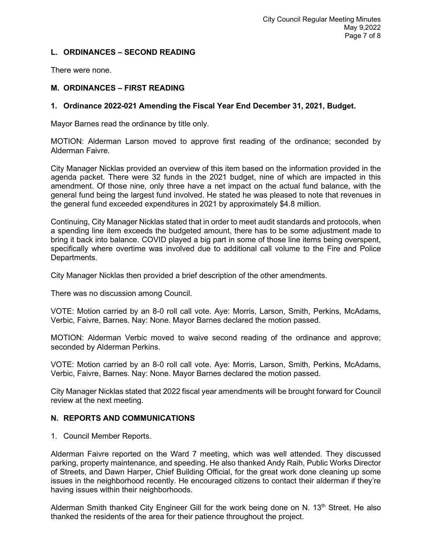# **L. ORDINANCES – SECOND READING**

There were none.

## **M. ORDINANCES – FIRST READING**

#### **1. Ordinance 2022-021 Amending the Fiscal Year End December 31, 2021, Budget.**

Mayor Barnes read the ordinance by title only.

MOTION: Alderman Larson moved to approve first reading of the ordinance; seconded by Alderman Faivre.

City Manager Nicklas provided an overview of this item based on the information provided in the agenda packet. There were 32 funds in the 2021 budget, nine of which are impacted in this amendment. Of those nine, only three have a net impact on the actual fund balance, with the general fund being the largest fund involved. He stated he was pleased to note that revenues in the general fund exceeded expenditures in 2021 by approximately \$4.8 million.

Continuing, City Manager Nicklas stated that in order to meet audit standards and protocols, when a spending line item exceeds the budgeted amount, there has to be some adjustment made to bring it back into balance. COVID played a big part in some of those line items being overspent, specifically where overtime was involved due to additional call volume to the Fire and Police Departments.

City Manager Nicklas then provided a brief description of the other amendments.

There was no discussion among Council.

VOTE: Motion carried by an 8-0 roll call vote. Aye: Morris, Larson, Smith, Perkins, McAdams, Verbic, Faivre, Barnes. Nay: None. Mayor Barnes declared the motion passed.

MOTION: Alderman Verbic moved to waive second reading of the ordinance and approve; seconded by Alderman Perkins.

VOTE: Motion carried by an 8-0 roll call vote. Aye: Morris, Larson, Smith, Perkins, McAdams, Verbic, Faivre, Barnes. Nay: None. Mayor Barnes declared the motion passed.

City Manager Nicklas stated that 2022 fiscal year amendments will be brought forward for Council review at the next meeting.

#### **N. REPORTS AND COMMUNICATIONS**

1. Council Member Reports.

Alderman Faivre reported on the Ward 7 meeting, which was well attended. They discussed parking, property maintenance, and speeding. He also thanked Andy Raih, Public Works Director of Streets, and Dawn Harper, Chief Building Official, for the great work done cleaning up some issues in the neighborhood recently. He encouraged citizens to contact their alderman if they're having issues within their neighborhoods.

Alderman Smith thanked City Engineer Gill for the work being done on N.  $13<sup>th</sup>$  Street. He also thanked the residents of the area for their patience throughout the project.